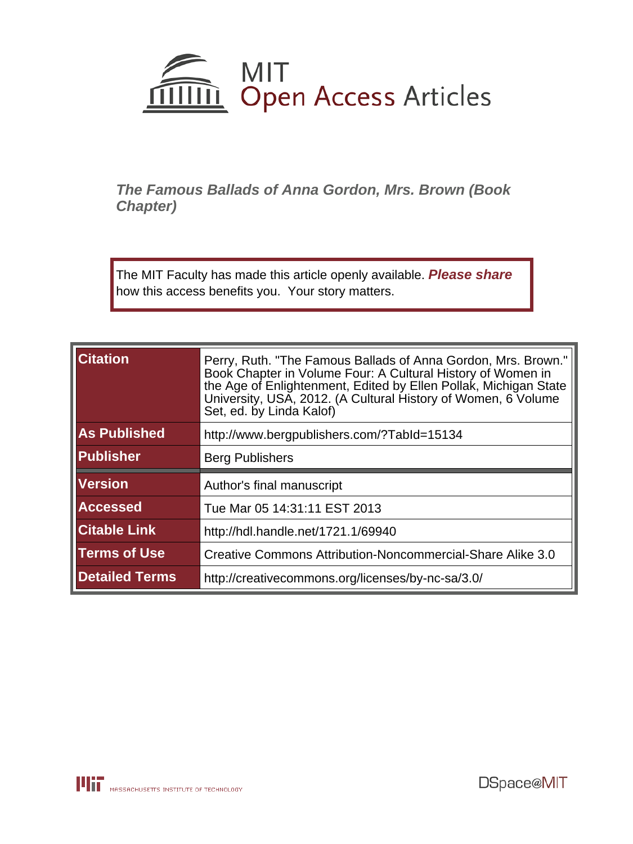

**The Famous Ballads of Anna Gordon, Mrs. Brown (Book Chapter)**

The MIT Faculty has made this article openly available. **[Please share](http://libraries.mit.edu/forms/dspace-oa-articles.html)** how this access benefits you. Your story matters.

| <b>Citation</b>     | Perry, Ruth. "The Famous Ballads of Anna Gordon, Mrs. Brown."<br>Book Chapter in Volume Four: A Cultural History of Women in<br>the Age of Enlightenment, Edited by Ellen Pollak, Michigan State<br>University, USA, 2012. (A Cultural History of Women, 6 Volume<br>Set, ed. by Linda Kalof) |
|---------------------|-----------------------------------------------------------------------------------------------------------------------------------------------------------------------------------------------------------------------------------------------------------------------------------------------|
| <b>As Published</b> | http://www.bergpublishers.com/?Tabld=15134                                                                                                                                                                                                                                                    |
| Publisher           | <b>Berg Publishers</b>                                                                                                                                                                                                                                                                        |
| <b>Version</b>      | Author's final manuscript                                                                                                                                                                                                                                                                     |
|                     |                                                                                                                                                                                                                                                                                               |
| <b>Accessed</b>     | Tue Mar 05 14:31:11 EST 2013                                                                                                                                                                                                                                                                  |
| <b>Citable Link</b> | http://hdl.handle.net/1721.1/69940                                                                                                                                                                                                                                                            |
| <b>Terms of Use</b> | Creative Commons Attribution-Noncommercial-Share Alike 3.0                                                                                                                                                                                                                                    |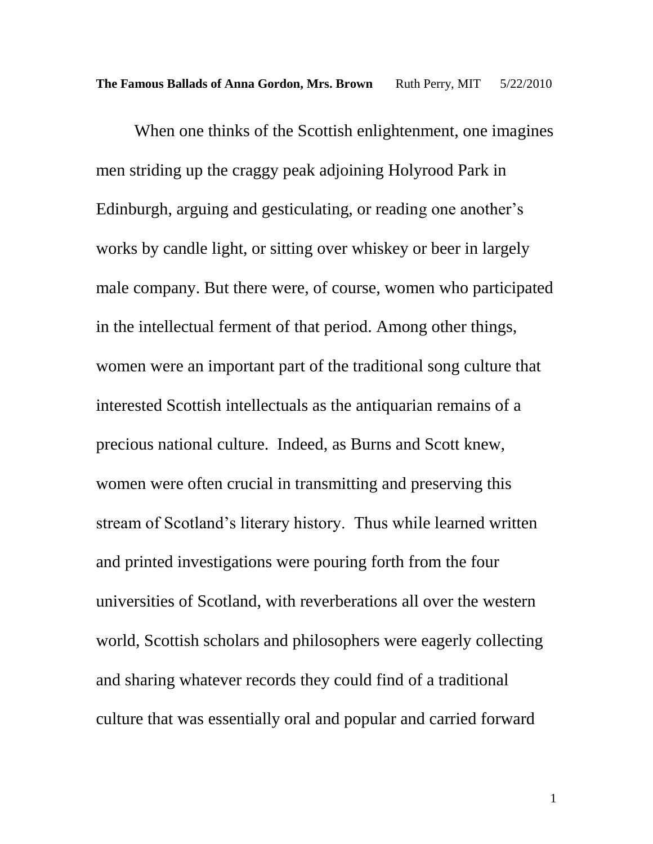When one thinks of the Scottish enlightenment, one imagines men striding up the craggy peak adjoining Holyrood Park in Edinburgh, arguing and gesticulating, or reading one another's works by candle light, or sitting over whiskey or beer in largely male company. But there were, of course, women who participated in the intellectual ferment of that period. Among other things, women were an important part of the traditional song culture that interested Scottish intellectuals as the antiquarian remains of a precious national culture. Indeed, as Burns and Scott knew, women were often crucial in transmitting and preserving this stream of Scotland"s literary history. Thus while learned written and printed investigations were pouring forth from the four universities of Scotland, with reverberations all over the western world, Scottish scholars and philosophers were eagerly collecting and sharing whatever records they could find of a traditional culture that was essentially oral and popular and carried forward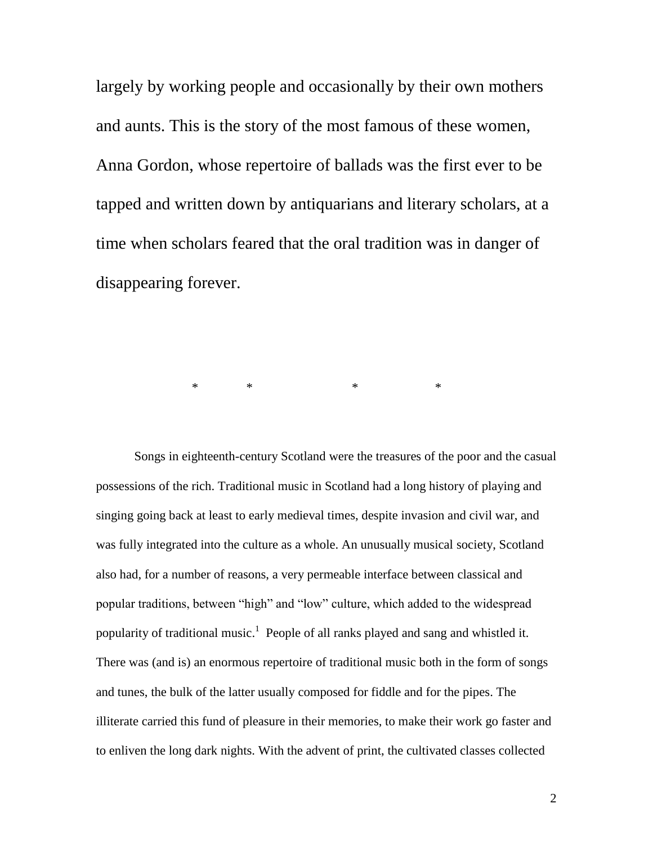largely by working people and occasionally by their own mothers and aunts. This is the story of the most famous of these women, Anna Gordon, whose repertoire of ballads was the first ever to be tapped and written down by antiquarians and literary scholars, at a time when scholars feared that the oral tradition was in danger of disappearing forever.

\* \* \* \*

Songs in eighteenth-century Scotland were the treasures of the poor and the casual possessions of the rich. Traditional music in Scotland had a long history of playing and singing going back at least to early medieval times, despite invasion and civil war, and was fully integrated into the culture as a whole. An unusually musical society, Scotland also had, for a number of reasons, a very permeable interface between classical and popular traditions, between "high" and "low" culture, which added to the widespread popularity of traditional music.<sup>1</sup> People of all ranks played and sang and whistled it. There was (and is) an enormous repertoire of traditional music both in the form of songs and tunes, the bulk of the latter usually composed for fiddle and for the pipes. The illiterate carried this fund of pleasure in their memories, to make their work go faster and to enliven the long dark nights. With the advent of print, the cultivated classes collected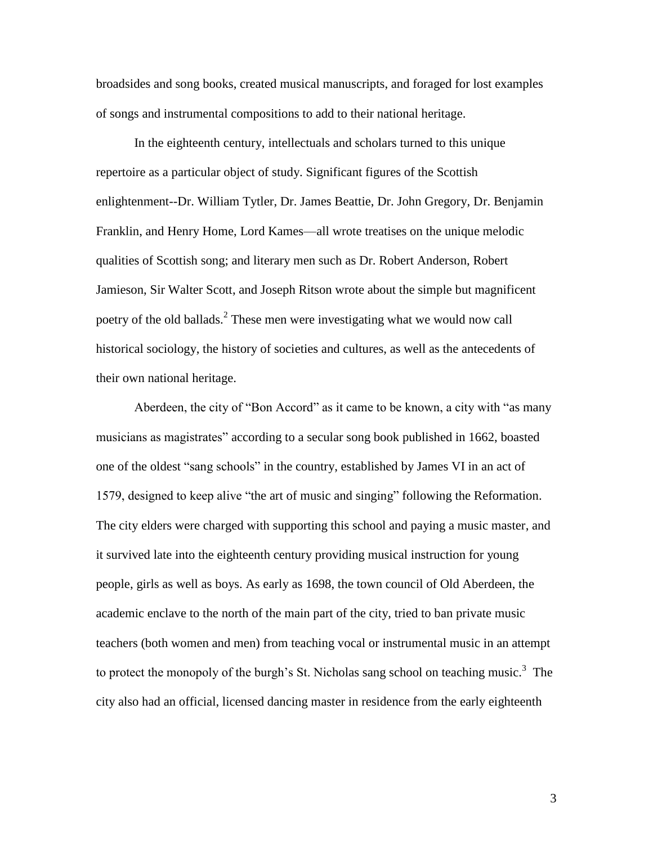broadsides and song books, created musical manuscripts, and foraged for lost examples of songs and instrumental compositions to add to their national heritage.

In the eighteenth century, intellectuals and scholars turned to this unique repertoire as a particular object of study. Significant figures of the Scottish enlightenment--Dr. William Tytler, Dr. James Beattie, Dr. John Gregory, Dr. Benjamin Franklin, and Henry Home, Lord Kames—all wrote treatises on the unique melodic qualities of Scottish song; and literary men such as Dr. Robert Anderson, Robert Jamieson, Sir Walter Scott, and Joseph Ritson wrote about the simple but magnificent poetry of the old ballads.<sup>2</sup> These men were investigating what we would now call historical sociology, the history of societies and cultures, as well as the antecedents of their own national heritage.

Aberdeen, the city of "Bon Accord" as it came to be known, a city with "as many musicians as magistrates" according to a secular song book published in 1662, boasted one of the oldest "sang schools" in the country, established by James VI in an act of 1579, designed to keep alive "the art of music and singing" following the Reformation. The city elders were charged with supporting this school and paying a music master, and it survived late into the eighteenth century providing musical instruction for young people, girls as well as boys. As early as 1698, the town council of Old Aberdeen, the academic enclave to the north of the main part of the city, tried to ban private music teachers (both women and men) from teaching vocal or instrumental music in an attempt to protect the monopoly of the burgh's St. Nicholas sang school on teaching music.<sup>3</sup> The city also had an official, licensed dancing master in residence from the early eighteenth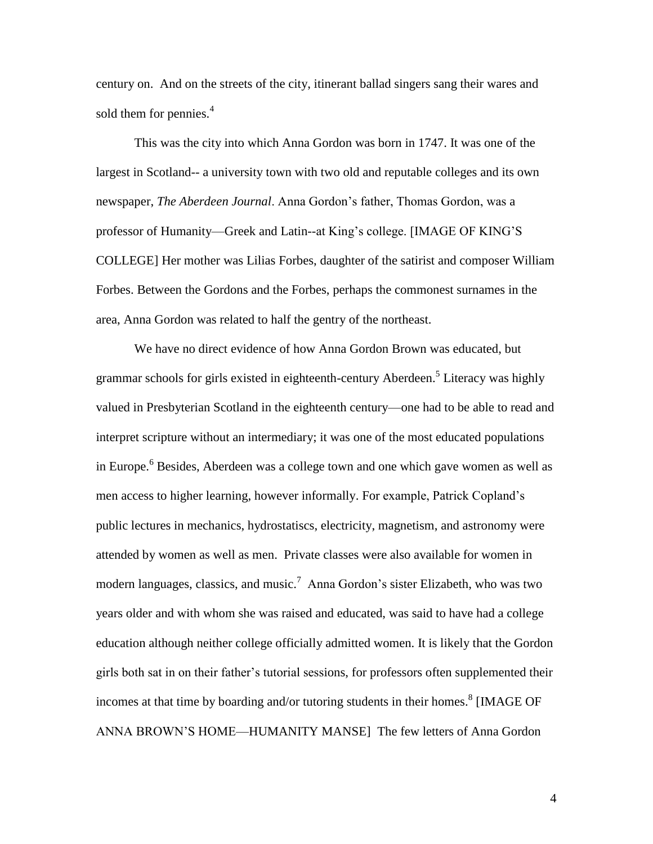century on. And on the streets of the city, itinerant ballad singers sang their wares and sold them for pennies.<sup>4</sup>

This was the city into which Anna Gordon was born in 1747. It was one of the largest in Scotland-- a university town with two old and reputable colleges and its own newspaper, *The Aberdeen Journal*. Anna Gordon"s father, Thomas Gordon, was a professor of Humanity—Greek and Latin--at King"s college. [IMAGE OF KING"S COLLEGE] Her mother was Lilias Forbes, daughter of the satirist and composer William Forbes. Between the Gordons and the Forbes, perhaps the commonest surnames in the area, Anna Gordon was related to half the gentry of the northeast.

We have no direct evidence of how Anna Gordon Brown was educated, but grammar schools for girls existed in eighteenth-century Aberdeen. 5 Literacy was highly valued in Presbyterian Scotland in the eighteenth century—one had to be able to read and interpret scripture without an intermediary; it was one of the most educated populations in Europe.<sup>6</sup> Besides, Aberdeen was a college town and one which gave women as well as men access to higher learning, however informally. For example, Patrick Copland"s public lectures in mechanics, hydrostatiscs, electricity, magnetism, and astronomy were attended by women as well as men. Private classes were also available for women in modern languages, classics, and music.<sup>7</sup> Anna Gordon's sister Elizabeth, who was two years older and with whom she was raised and educated, was said to have had a college education although neither college officially admitted women. It is likely that the Gordon girls both sat in on their father"s tutorial sessions, for professors often supplemented their incomes at that time by boarding and/or tutoring students in their homes.<sup>8</sup> [IMAGE OF ANNA BROWN"S HOME—HUMANITY MANSE] The few letters of Anna Gordon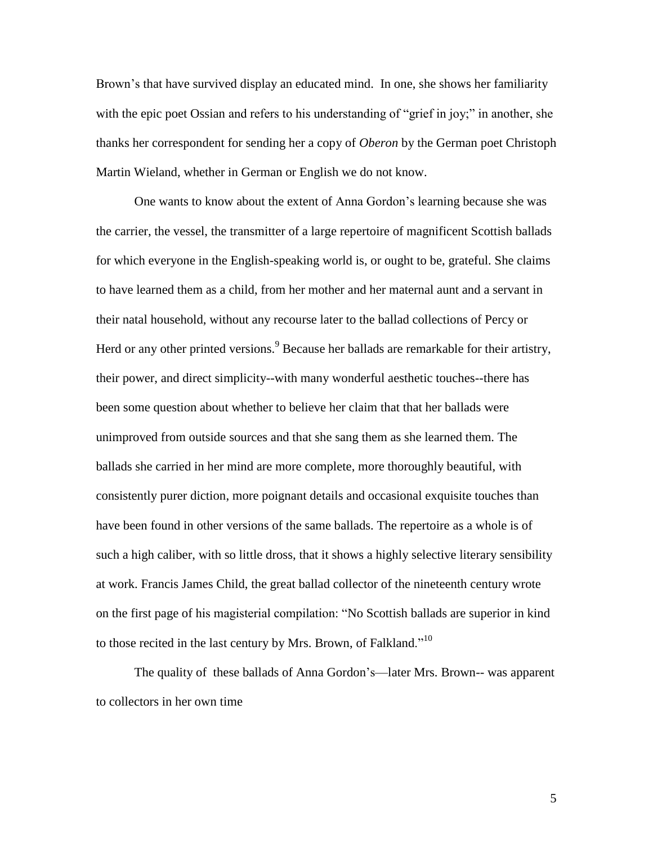Brown"s that have survived display an educated mind. In one, she shows her familiarity with the epic poet Ossian and refers to his understanding of "grief in joy;" in another, she thanks her correspondent for sending her a copy of *Oberon* by the German poet Christoph Martin Wieland, whether in German or English we do not know.

One wants to know about the extent of Anna Gordon"s learning because she was the carrier, the vessel, the transmitter of a large repertoire of magnificent Scottish ballads for which everyone in the English-speaking world is, or ought to be, grateful. She claims to have learned them as a child, from her mother and her maternal aunt and a servant in their natal household, without any recourse later to the ballad collections of Percy or Herd or any other printed versions.<sup>9</sup> Because her ballads are remarkable for their artistry, their power, and direct simplicity--with many wonderful aesthetic touches--there has been some question about whether to believe her claim that that her ballads were unimproved from outside sources and that she sang them as she learned them. The ballads she carried in her mind are more complete, more thoroughly beautiful, with consistently purer diction, more poignant details and occasional exquisite touches than have been found in other versions of the same ballads. The repertoire as a whole is of such a high caliber, with so little dross, that it shows a highly selective literary sensibility at work. Francis James Child, the great ballad collector of the nineteenth century wrote on the first page of his magisterial compilation: "No Scottish ballads are superior in kind to those recited in the last century by Mrs. Brown, of Falkland."<sup>10</sup>

The quality of these ballads of Anna Gordon"s—later Mrs. Brown-- was apparent to collectors in her own time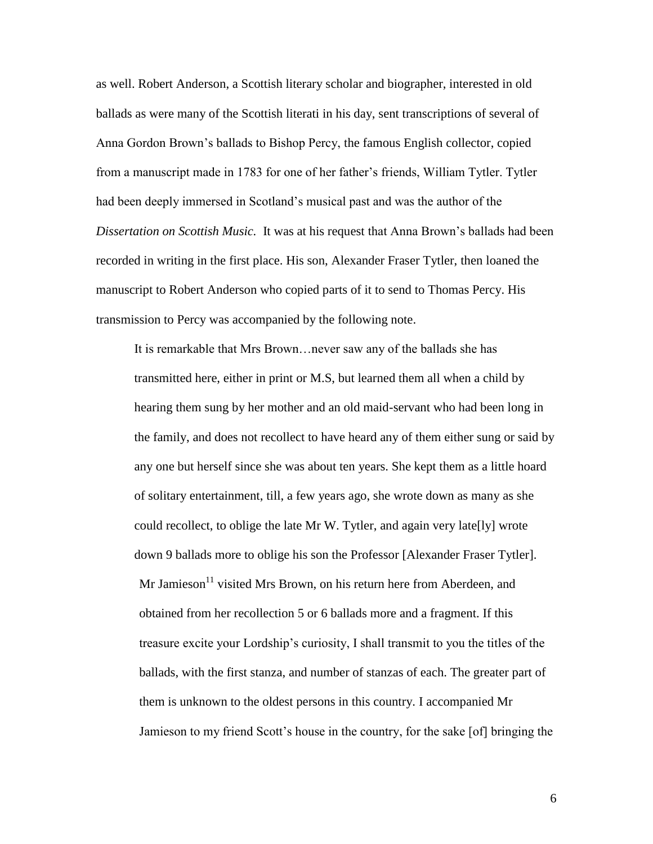as well. Robert Anderson, a Scottish literary scholar and biographer, interested in old ballads as were many of the Scottish literati in his day, sent transcriptions of several of Anna Gordon Brown"s ballads to Bishop Percy, the famous English collector, copied from a manuscript made in 1783 for one of her father"s friends, William Tytler. Tytler had been deeply immersed in Scotland"s musical past and was the author of the *Dissertation on Scottish Music.* It was at his request that Anna Brown"s ballads had been recorded in writing in the first place. His son, Alexander Fraser Tytler, then loaned the manuscript to Robert Anderson who copied parts of it to send to Thomas Percy. His transmission to Percy was accompanied by the following note.

It is remarkable that Mrs Brown…never saw any of the ballads she has transmitted here, either in print or M.S, but learned them all when a child by hearing them sung by her mother and an old maid-servant who had been long in the family, and does not recollect to have heard any of them either sung or said by any one but herself since she was about ten years. She kept them as a little hoard of solitary entertainment, till, a few years ago, she wrote down as many as she could recollect, to oblige the late Mr W. Tytler, and again very late[ly] wrote down 9 ballads more to oblige his son the Professor [Alexander Fraser Tytler].  $Mr$  Jamieson<sup>11</sup> visited Mrs Brown, on his return here from Aberdeen, and obtained from her recollection 5 or 6 ballads more and a fragment. If this treasure excite your Lordship"s curiosity, I shall transmit to you the titles of the ballads, with the first stanza, and number of stanzas of each. The greater part of them is unknown to the oldest persons in this country. I accompanied Mr Jamieson to my friend Scott"s house in the country, for the sake [of] bringing the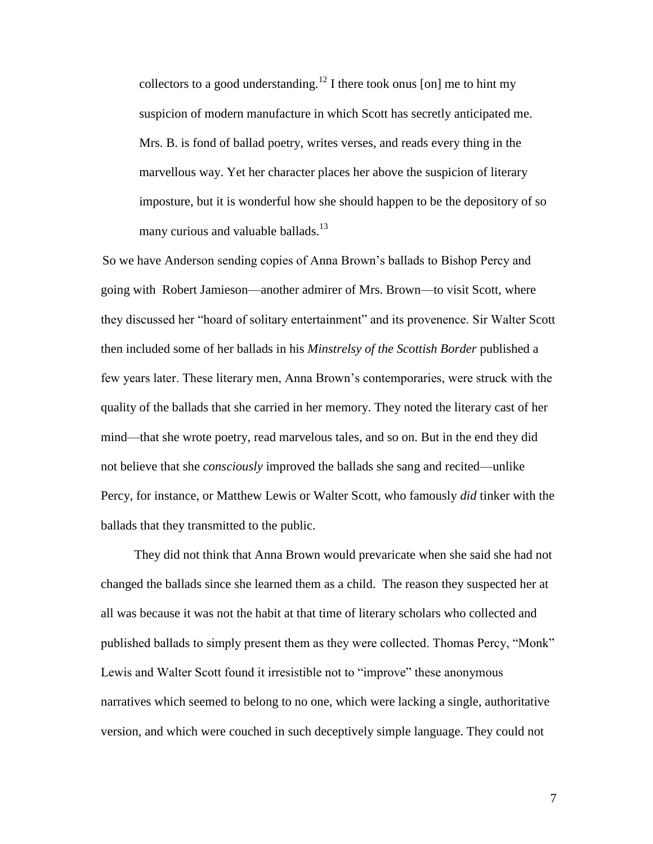collectors to a good understanding.<sup>12</sup> I there took onus [on] me to hint my suspicion of modern manufacture in which Scott has secretly anticipated me. Mrs. B. is fond of ballad poetry, writes verses, and reads every thing in the marvellous way. Yet her character places her above the suspicion of literary imposture, but it is wonderful how she should happen to be the depository of so many curious and valuable ballads.<sup>13</sup>

 So we have Anderson sending copies of Anna Brown"s ballads to Bishop Percy and going with Robert Jamieson—another admirer of Mrs. Brown—to visit Scott, where they discussed her "hoard of solitary entertainment" and its provenence. Sir Walter Scott then included some of her ballads in his *Minstrelsy of the Scottish Border* published a few years later. These literary men, Anna Brown"s contemporaries, were struck with the quality of the ballads that she carried in her memory. They noted the literary cast of her mind—that she wrote poetry, read marvelous tales, and so on. But in the end they did not believe that she *consciously* improved the ballads she sang and recited—unlike Percy, for instance, or Matthew Lewis or Walter Scott, who famously *did* tinker with the ballads that they transmitted to the public.

They did not think that Anna Brown would prevaricate when she said she had not changed the ballads since she learned them as a child. The reason they suspected her at all was because it was not the habit at that time of literary scholars who collected and published ballads to simply present them as they were collected. Thomas Percy, "Monk" Lewis and Walter Scott found it irresistible not to "improve" these anonymous narratives which seemed to belong to no one, which were lacking a single, authoritative version, and which were couched in such deceptively simple language. They could not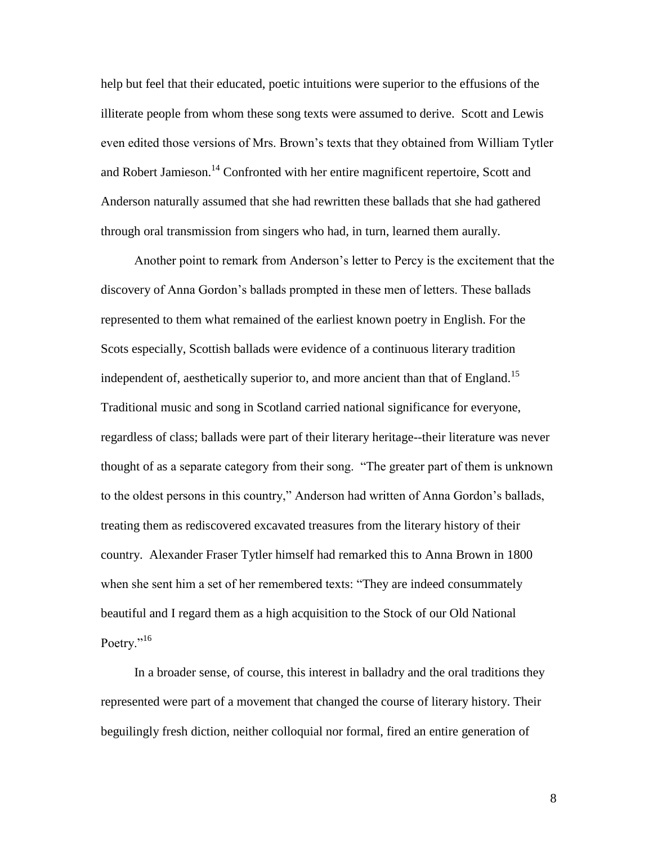help but feel that their educated, poetic intuitions were superior to the effusions of the illiterate people from whom these song texts were assumed to derive. Scott and Lewis even edited those versions of Mrs. Brown"s texts that they obtained from William Tytler and Robert Jamieson.<sup>14</sup> Confronted with her entire magnificent repertoire, Scott and Anderson naturally assumed that she had rewritten these ballads that she had gathered through oral transmission from singers who had, in turn, learned them aurally.

Another point to remark from Anderson"s letter to Percy is the excitement that the discovery of Anna Gordon"s ballads prompted in these men of letters. These ballads represented to them what remained of the earliest known poetry in English. For the Scots especially, Scottish ballads were evidence of a continuous literary tradition independent of, aesthetically superior to, and more ancient than that of England.<sup>15</sup> Traditional music and song in Scotland carried national significance for everyone, regardless of class; ballads were part of their literary heritage--their literature was never thought of as a separate category from their song. "The greater part of them is unknown to the oldest persons in this country," Anderson had written of Anna Gordon"s ballads, treating them as rediscovered excavated treasures from the literary history of their country. Alexander Fraser Tytler himself had remarked this to Anna Brown in 1800 when she sent him a set of her remembered texts: "They are indeed consummately beautiful and I regard them as a high acquisition to the Stock of our Old National Poetry."<sup>16</sup>

In a broader sense, of course, this interest in balladry and the oral traditions they represented were part of a movement that changed the course of literary history. Their beguilingly fresh diction, neither colloquial nor formal, fired an entire generation of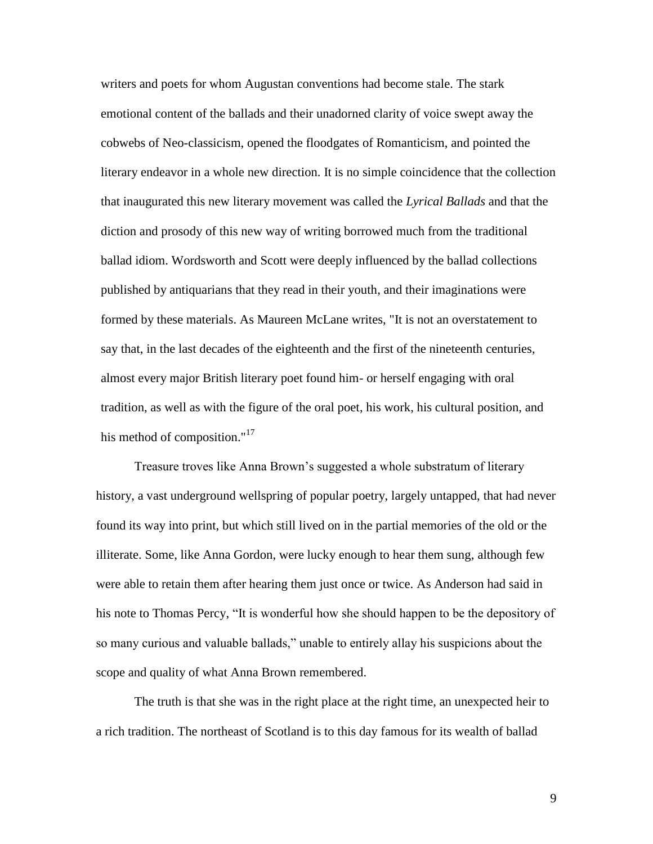writers and poets for whom Augustan conventions had become stale. The stark emotional content of the ballads and their unadorned clarity of voice swept away the cobwebs of Neo-classicism, opened the floodgates of Romanticism, and pointed the literary endeavor in a whole new direction. It is no simple coincidence that the collection that inaugurated this new literary movement was called the *Lyrical Ballads* and that the diction and prosody of this new way of writing borrowed much from the traditional ballad idiom. Wordsworth and Scott were deeply influenced by the ballad collections published by antiquarians that they read in their youth, and their imaginations were formed by these materials. As Maureen McLane writes, "It is not an overstatement to say that, in the last decades of the eighteenth and the first of the nineteenth centuries, almost every major British literary poet found him- or herself engaging with oral tradition, as well as with the figure of the oral poet, his work, his cultural position, and his method of composition." $17$ 

Treasure troves like Anna Brown"s suggested a whole substratum of literary history, a vast underground wellspring of popular poetry, largely untapped, that had never found its way into print, but which still lived on in the partial memories of the old or the illiterate. Some, like Anna Gordon, were lucky enough to hear them sung, although few were able to retain them after hearing them just once or twice. As Anderson had said in his note to Thomas Percy, "It is wonderful how she should happen to be the depository of so many curious and valuable ballads," unable to entirely allay his suspicions about the scope and quality of what Anna Brown remembered.

The truth is that she was in the right place at the right time, an unexpected heir to a rich tradition. The northeast of Scotland is to this day famous for its wealth of ballad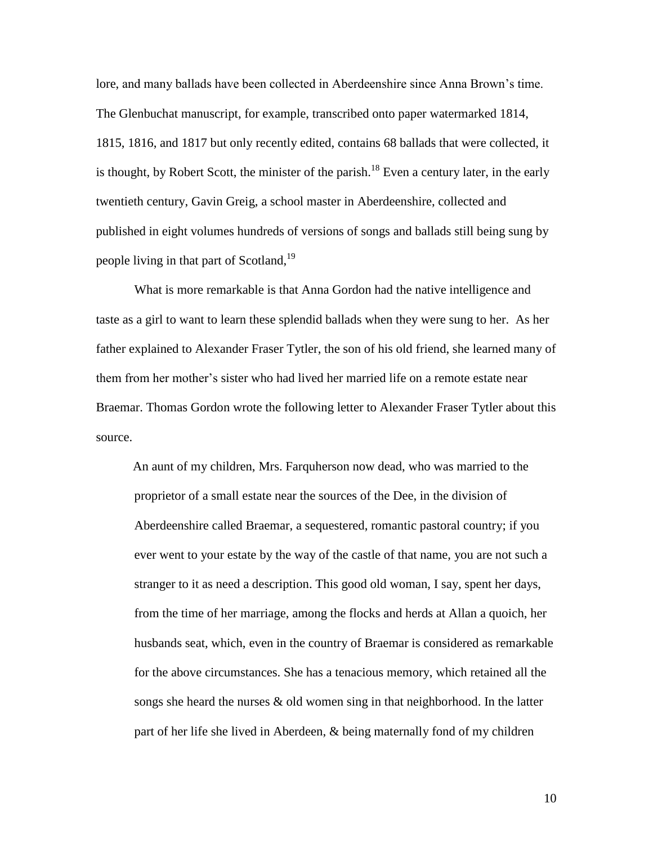lore, and many ballads have been collected in Aberdeenshire since Anna Brown"s time. The Glenbuchat manuscript, for example, transcribed onto paper watermarked 1814, 1815, 1816, and 1817 but only recently edited, contains 68 ballads that were collected, it is thought, by Robert Scott, the minister of the parish.<sup>18</sup> Even a century later, in the early twentieth century, Gavin Greig, a school master in Aberdeenshire, collected and published in eight volumes hundreds of versions of songs and ballads still being sung by people living in that part of Scotland,<sup>19</sup>

What is more remarkable is that Anna Gordon had the native intelligence and taste as a girl to want to learn these splendid ballads when they were sung to her. As her father explained to Alexander Fraser Tytler, the son of his old friend, she learned many of them from her mother"s sister who had lived her married life on a remote estate near Braemar. Thomas Gordon wrote the following letter to Alexander Fraser Tytler about this source.

An aunt of my children, Mrs. Farquherson now dead, who was married to the proprietor of a small estate near the sources of the Dee, in the division of Aberdeenshire called Braemar, a sequestered, romantic pastoral country; if you ever went to your estate by the way of the castle of that name, you are not such a stranger to it as need a description. This good old woman, I say, spent her days, from the time of her marriage, among the flocks and herds at Allan a quoich, her husbands seat, which, even in the country of Braemar is considered as remarkable for the above circumstances. She has a tenacious memory, which retained all the songs she heard the nurses & old women sing in that neighborhood. In the latter part of her life she lived in Aberdeen, & being maternally fond of my children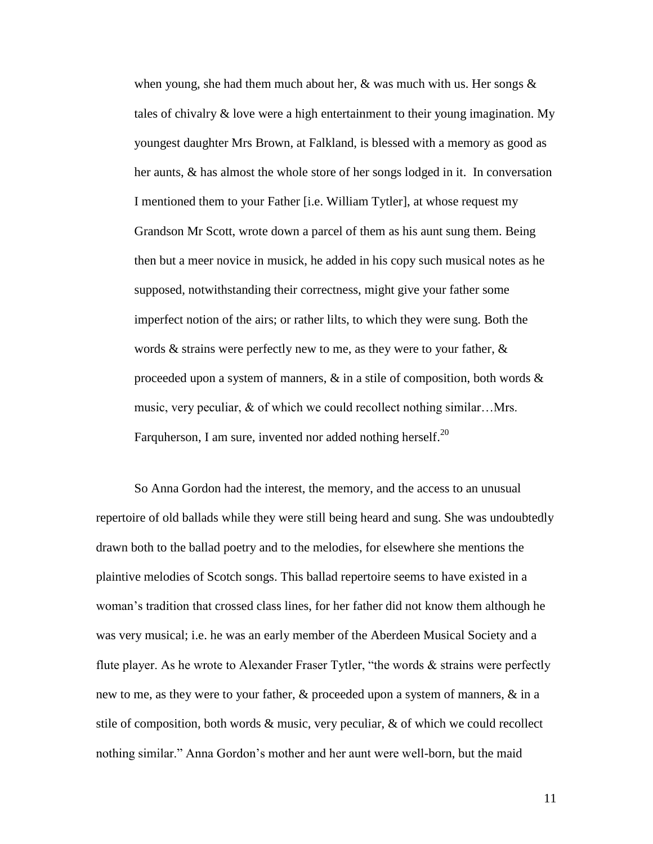when young, she had them much about her,  $\&$  was much with us. Her songs  $\&$ tales of chivalry & love were a high entertainment to their young imagination. My youngest daughter Mrs Brown, at Falkland, is blessed with a memory as good as her aunts, & has almost the whole store of her songs lodged in it. In conversation I mentioned them to your Father [i.e. William Tytler], at whose request my Grandson Mr Scott, wrote down a parcel of them as his aunt sung them. Being then but a meer novice in musick, he added in his copy such musical notes as he supposed, notwithstanding their correctness, might give your father some imperfect notion of the airs; or rather lilts, to which they were sung. Both the words & strains were perfectly new to me, as they were to your father, & proceeded upon a system of manners,  $\&$  in a stile of composition, both words  $\&$ music, very peculiar, & of which we could recollect nothing similar…Mrs. Farquherson, I am sure, invented nor added nothing herself.<sup>20</sup>

So Anna Gordon had the interest, the memory, and the access to an unusual repertoire of old ballads while they were still being heard and sung. She was undoubtedly drawn both to the ballad poetry and to the melodies, for elsewhere she mentions the plaintive melodies of Scotch songs. This ballad repertoire seems to have existed in a woman"s tradition that crossed class lines, for her father did not know them although he was very musical; i.e. he was an early member of the Aberdeen Musical Society and a flute player. As he wrote to Alexander Fraser Tytler, "the words & strains were perfectly new to me, as they were to your father, & proceeded upon a system of manners, & in a stile of composition, both words  $\&$  music, very peculiar,  $\&$  of which we could recollect nothing similar." Anna Gordon"s mother and her aunt were well-born, but the maid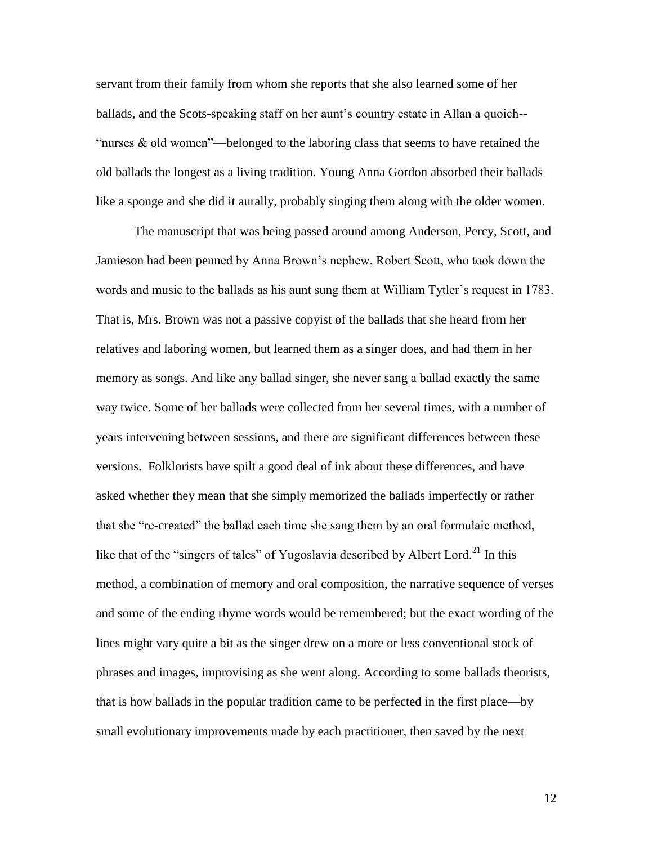servant from their family from whom she reports that she also learned some of her ballads, and the Scots-speaking staff on her aunt's country estate in Allan a quoich--"nurses  $\&$  old women"—belonged to the laboring class that seems to have retained the old ballads the longest as a living tradition. Young Anna Gordon absorbed their ballads like a sponge and she did it aurally, probably singing them along with the older women.

The manuscript that was being passed around among Anderson, Percy, Scott, and Jamieson had been penned by Anna Brown"s nephew, Robert Scott, who took down the words and music to the ballads as his aunt sung them at William Tytler"s request in 1783. That is, Mrs. Brown was not a passive copyist of the ballads that she heard from her relatives and laboring women, but learned them as a singer does, and had them in her memory as songs. And like any ballad singer, she never sang a ballad exactly the same way twice. Some of her ballads were collected from her several times, with a number of years intervening between sessions, and there are significant differences between these versions. Folklorists have spilt a good deal of ink about these differences, and have asked whether they mean that she simply memorized the ballads imperfectly or rather that she "re-created" the ballad each time she sang them by an oral formulaic method, like that of the "singers of tales" of Yugoslavia described by Albert Lord.<sup>21</sup> In this method, a combination of memory and oral composition, the narrative sequence of verses and some of the ending rhyme words would be remembered; but the exact wording of the lines might vary quite a bit as the singer drew on a more or less conventional stock of phrases and images, improvising as she went along. According to some ballads theorists, that is how ballads in the popular tradition came to be perfected in the first place—by small evolutionary improvements made by each practitioner, then saved by the next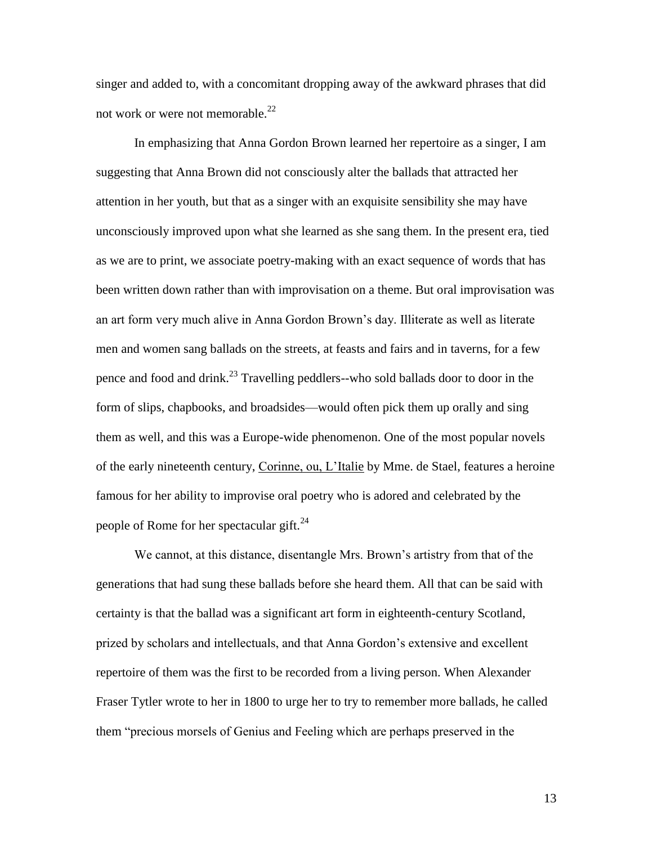singer and added to, with a concomitant dropping away of the awkward phrases that did not work or were not memorable.<sup>22</sup>

In emphasizing that Anna Gordon Brown learned her repertoire as a singer, I am suggesting that Anna Brown did not consciously alter the ballads that attracted her attention in her youth, but that as a singer with an exquisite sensibility she may have unconsciously improved upon what she learned as she sang them. In the present era, tied as we are to print, we associate poetry-making with an exact sequence of words that has been written down rather than with improvisation on a theme. But oral improvisation was an art form very much alive in Anna Gordon Brown"s day. Illiterate as well as literate men and women sang ballads on the streets, at feasts and fairs and in taverns, for a few pence and food and drink.<sup>23</sup> Travelling peddlers--who sold ballads door to door in the form of slips, chapbooks, and broadsides—would often pick them up orally and sing them as well, and this was a Europe-wide phenomenon. One of the most popular novels of the early nineteenth century, Corinne, ou, L'Italie by Mme. de Stael, features a heroine famous for her ability to improvise oral poetry who is adored and celebrated by the people of Rome for her spectacular gift.<sup>24</sup>

We cannot, at this distance, disentangle Mrs. Brown"s artistry from that of the generations that had sung these ballads before she heard them. All that can be said with certainty is that the ballad was a significant art form in eighteenth-century Scotland, prized by scholars and intellectuals, and that Anna Gordon"s extensive and excellent repertoire of them was the first to be recorded from a living person. When Alexander Fraser Tytler wrote to her in 1800 to urge her to try to remember more ballads, he called them "precious morsels of Genius and Feeling which are perhaps preserved in the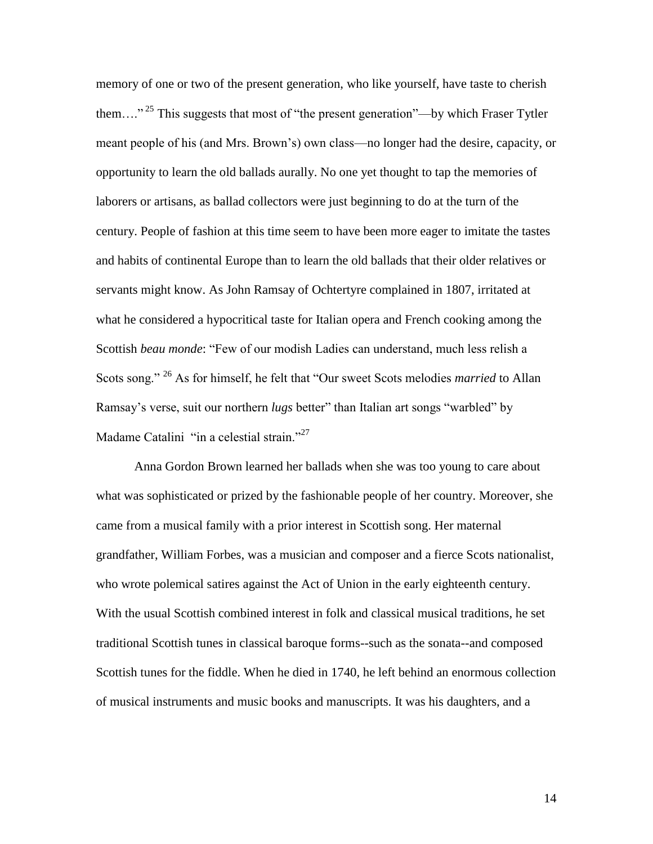memory of one or two of the present generation, who like yourself, have taste to cherish them...."<sup>25</sup> This suggests that most of "the present generation"—by which Fraser Tytler meant people of his (and Mrs. Brown"s) own class—no longer had the desire, capacity, or opportunity to learn the old ballads aurally. No one yet thought to tap the memories of laborers or artisans, as ballad collectors were just beginning to do at the turn of the century. People of fashion at this time seem to have been more eager to imitate the tastes and habits of continental Europe than to learn the old ballads that their older relatives or servants might know. As John Ramsay of Ochtertyre complained in 1807, irritated at what he considered a hypocritical taste for Italian opera and French cooking among the Scottish *beau monde*: "Few of our modish Ladies can understand, much less relish a Scots song." <sup>26</sup> As for himself, he felt that "Our sweet Scots melodies *married* to Allan Ramsay"s verse, suit our northern *lugs* better" than Italian art songs "warbled" by Madame Catalini "in a celestial strain."<sup>27</sup>

Anna Gordon Brown learned her ballads when she was too young to care about what was sophisticated or prized by the fashionable people of her country. Moreover, she came from a musical family with a prior interest in Scottish song. Her maternal grandfather, William Forbes, was a musician and composer and a fierce Scots nationalist, who wrote polemical satires against the Act of Union in the early eighteenth century. With the usual Scottish combined interest in folk and classical musical traditions, he set traditional Scottish tunes in classical baroque forms--such as the sonata--and composed Scottish tunes for the fiddle. When he died in 1740, he left behind an enormous collection of musical instruments and music books and manuscripts. It was his daughters, and a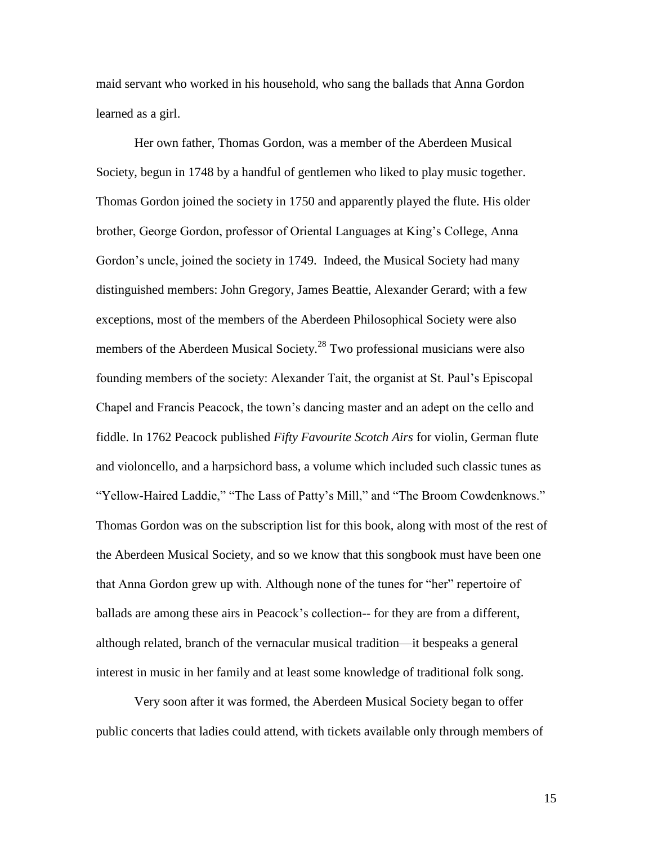maid servant who worked in his household, who sang the ballads that Anna Gordon learned as a girl.

Her own father, Thomas Gordon, was a member of the Aberdeen Musical Society, begun in 1748 by a handful of gentlemen who liked to play music together. Thomas Gordon joined the society in 1750 and apparently played the flute. His older brother, George Gordon, professor of Oriental Languages at King"s College, Anna Gordon"s uncle, joined the society in 1749. Indeed, the Musical Society had many distinguished members: John Gregory, James Beattie, Alexander Gerard; with a few exceptions, most of the members of the Aberdeen Philosophical Society were also members of the Aberdeen Musical Society.<sup>28</sup> Two professional musicians were also founding members of the society: Alexander Tait, the organist at St. Paul"s Episcopal Chapel and Francis Peacock, the town"s dancing master and an adept on the cello and fiddle. In 1762 Peacock published *Fifty Favourite Scotch Airs* for violin, German flute and violoncello, and a harpsichord bass, a volume which included such classic tunes as "Yellow-Haired Laddie," "The Lass of Patty"s Mill," and "The Broom Cowdenknows." Thomas Gordon was on the subscription list for this book, along with most of the rest of the Aberdeen Musical Society, and so we know that this songbook must have been one that Anna Gordon grew up with. Although none of the tunes for "her" repertoire of ballads are among these airs in Peacock"s collection-- for they are from a different, although related, branch of the vernacular musical tradition—it bespeaks a general interest in music in her family and at least some knowledge of traditional folk song.

Very soon after it was formed, the Aberdeen Musical Society began to offer public concerts that ladies could attend, with tickets available only through members of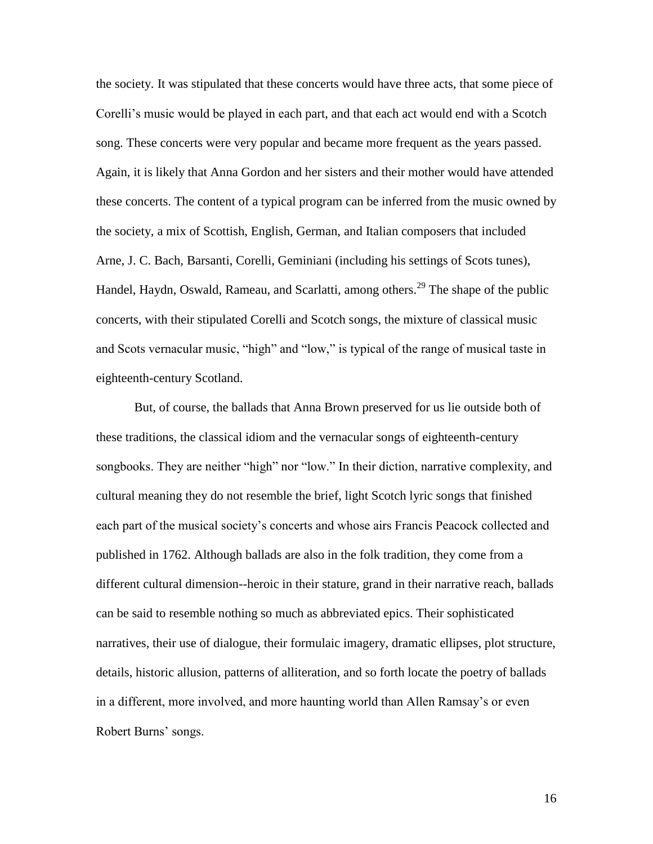the society. It was stipulated that these concerts would have three acts, that some piece of Corelli's music would be played in each part, and that each act would end with a Scotch song. These concerts were very popular and became more frequent as the years passed. Again, it is likely that Anna Gordon and her sisters and their mother would have attended these concerts. The content of a typical program can be inferred from the music owned by the society, a mix of Scottish, English, German, and Italian composers that included Arne, J. C. Bach, Barsanti, Corelli, Geminiani (including his settings of Scots tunes), Handel, Haydn, Oswald, Rameau, and Scarlatti, among others.<sup>29</sup> The shape of the public concerts, with their stipulated Corelli and Scotch songs, the mixture of classical music and Scots vernacular music, "high" and "low," is typical of the range of musical taste in eighteenth-century Scotland.

But, of course, the ballads that Anna Brown preserved for us lie outside both of these traditions, the classical idiom and the vernacular songs of eighteenth-century songbooks. They are neither "high" nor "low." In their diction, narrative complexity, and cultural meaning they do not resemble the brief, light Scotch lyric songs that finished each part of the musical society"s concerts and whose airs Francis Peacock collected and published in 1762. Although ballads are also in the folk tradition, they come from a different cultural dimension--heroic in their stature, grand in their narrative reach, ballads can be said to resemble nothing so much as abbreviated epics. Their sophisticated narratives, their use of dialogue, their formulaic imagery, dramatic ellipses, plot structure, details, historic allusion, patterns of alliteration, and so forth locate the poetry of ballads in a different, more involved, and more haunting world than Allen Ramsay"s or even Robert Burns' songs.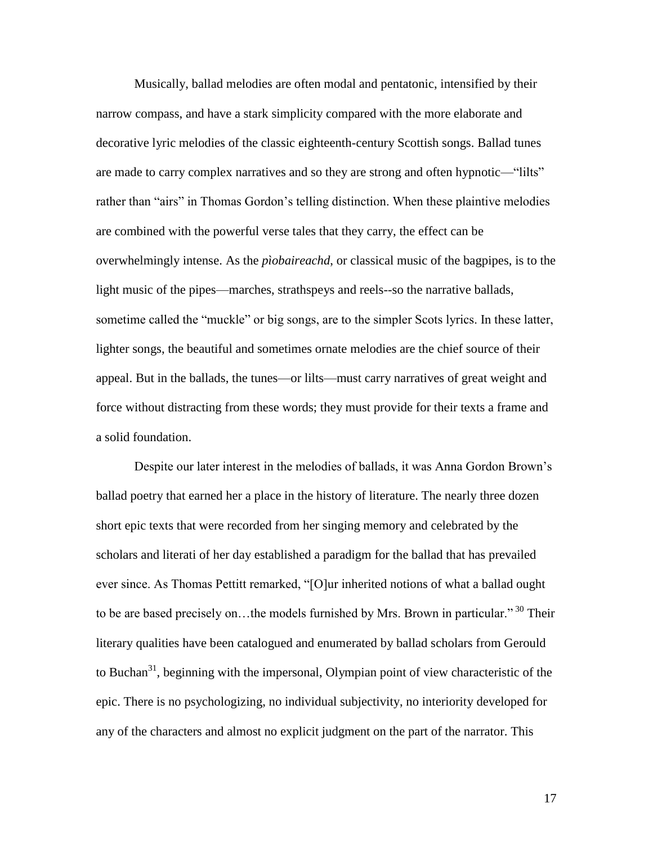Musically, ballad melodies are often modal and pentatonic, intensified by their narrow compass, and have a stark simplicity compared with the more elaborate and decorative lyric melodies of the classic eighteenth-century Scottish songs. Ballad tunes are made to carry complex narratives and so they are strong and often hypnotic—"lilts" rather than "airs" in Thomas Gordon's telling distinction. When these plaintive melodies are combined with the powerful verse tales that they carry, the effect can be overwhelmingly intense. As the *pìobaireachd*, or classical music of the bagpipes, is to the light music of the pipes—marches, strathspeys and reels--so the narrative ballads, sometime called the "muckle" or big songs, are to the simpler Scots lyrics. In these latter, lighter songs, the beautiful and sometimes ornate melodies are the chief source of their appeal. But in the ballads, the tunes—or lilts—must carry narratives of great weight and force without distracting from these words; they must provide for their texts a frame and a solid foundation.

Despite our later interest in the melodies of ballads, it was Anna Gordon Brown"s ballad poetry that earned her a place in the history of literature. The nearly three dozen short epic texts that were recorded from her singing memory and celebrated by the scholars and literati of her day established a paradigm for the ballad that has prevailed ever since. As Thomas Pettitt remarked, "[O]ur inherited notions of what a ballad ought to be are based precisely on...the models furnished by Mrs. Brown in particular."<sup>30</sup> Their literary qualities have been catalogued and enumerated by ballad scholars from Gerould to Buchan<sup>31</sup>, beginning with the impersonal, Olympian point of view characteristic of the epic. There is no psychologizing, no individual subjectivity, no interiority developed for any of the characters and almost no explicit judgment on the part of the narrator. This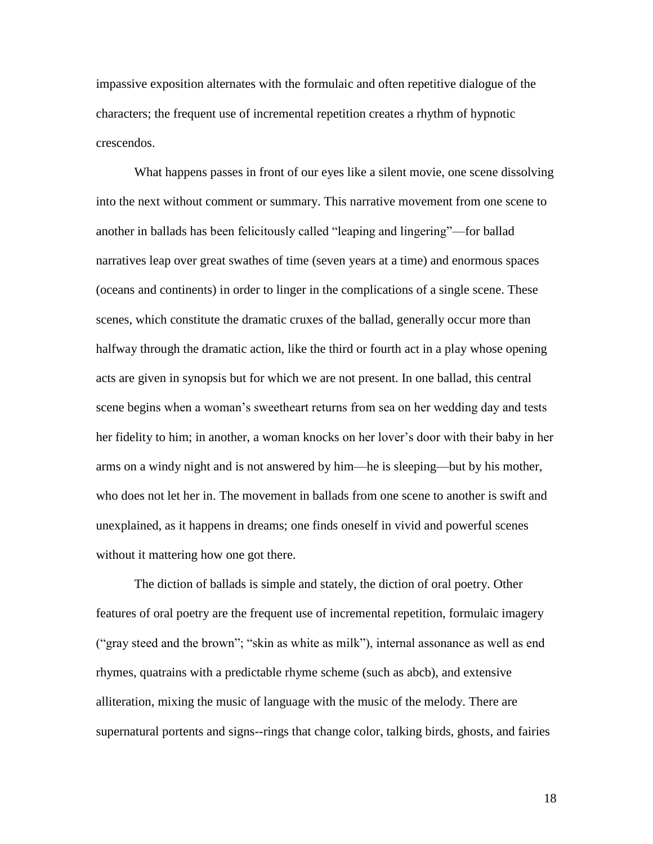impassive exposition alternates with the formulaic and often repetitive dialogue of the characters; the frequent use of incremental repetition creates a rhythm of hypnotic crescendos.

What happens passes in front of our eyes like a silent movie, one scene dissolving into the next without comment or summary. This narrative movement from one scene to another in ballads has been felicitously called "leaping and lingering"—for ballad narratives leap over great swathes of time (seven years at a time) and enormous spaces (oceans and continents) in order to linger in the complications of a single scene. These scenes, which constitute the dramatic cruxes of the ballad, generally occur more than halfway through the dramatic action, like the third or fourth act in a play whose opening acts are given in synopsis but for which we are not present. In one ballad, this central scene begins when a woman"s sweetheart returns from sea on her wedding day and tests her fidelity to him; in another, a woman knocks on her lover"s door with their baby in her arms on a windy night and is not answered by him—he is sleeping—but by his mother, who does not let her in. The movement in ballads from one scene to another is swift and unexplained, as it happens in dreams; one finds oneself in vivid and powerful scenes without it mattering how one got there.

The diction of ballads is simple and stately, the diction of oral poetry. Other features of oral poetry are the frequent use of incremental repetition, formulaic imagery ("gray steed and the brown"; "skin as white as milk"), internal assonance as well as end rhymes, quatrains with a predictable rhyme scheme (such as abcb), and extensive alliteration, mixing the music of language with the music of the melody. There are supernatural portents and signs--rings that change color, talking birds, ghosts, and fairies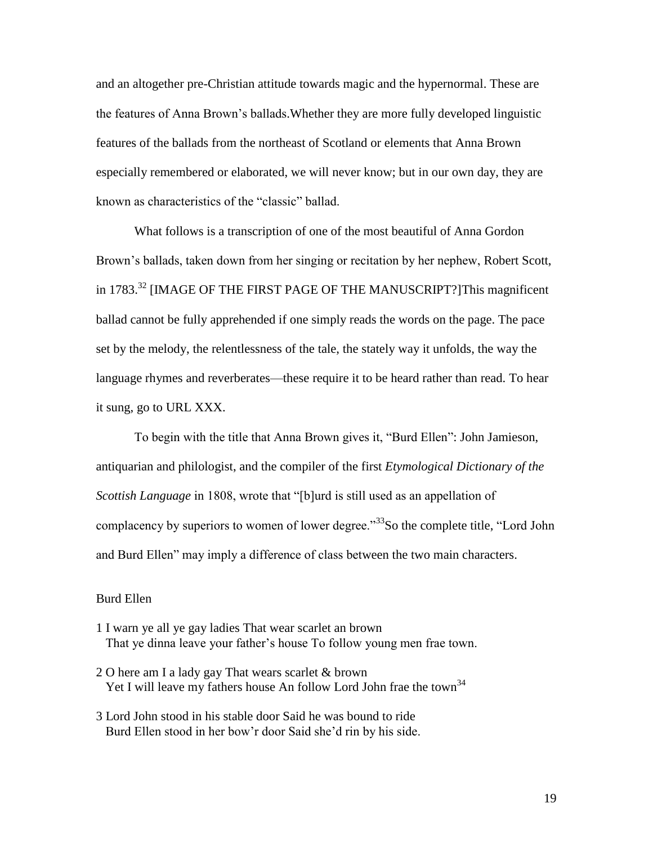and an altogether pre-Christian attitude towards magic and the hypernormal. These are the features of Anna Brown"s ballads.Whether they are more fully developed linguistic features of the ballads from the northeast of Scotland or elements that Anna Brown especially remembered or elaborated, we will never know; but in our own day, they are known as characteristics of the "classic" ballad.

What follows is a transcription of one of the most beautiful of Anna Gordon Brown"s ballads, taken down from her singing or recitation by her nephew, Robert Scott, in 1783.<sup>32</sup> [IMAGE OF THE FIRST PAGE OF THE MANUSCRIPT?]This magnificent ballad cannot be fully apprehended if one simply reads the words on the page. The pace set by the melody, the relentlessness of the tale, the stately way it unfolds, the way the language rhymes and reverberates—these require it to be heard rather than read. To hear it sung, go to URL XXX.

To begin with the title that Anna Brown gives it, "Burd Ellen": John Jamieson, antiquarian and philologist, and the compiler of the first *Etymological Dictionary of the Scottish Language* in 1808, wrote that "[b]urd is still used as an appellation of complacency by superiors to women of lower degree."<sup>33</sup>So the complete title, "Lord John and Burd Ellen" may imply a difference of class between the two main characters.

## Burd Ellen

- 1 I warn ye all ye gay ladies That wear scarlet an brown That ye dinna leave your father"s house To follow young men frae town.
- 2 O here am I a lady gay That wears scarlet & brown Yet I will leave my fathers house An follow Lord John frae the town<sup>34</sup>
- 3 Lord John stood in his stable door Said he was bound to ride Burd Ellen stood in her bow"r door Said she"d rin by his side.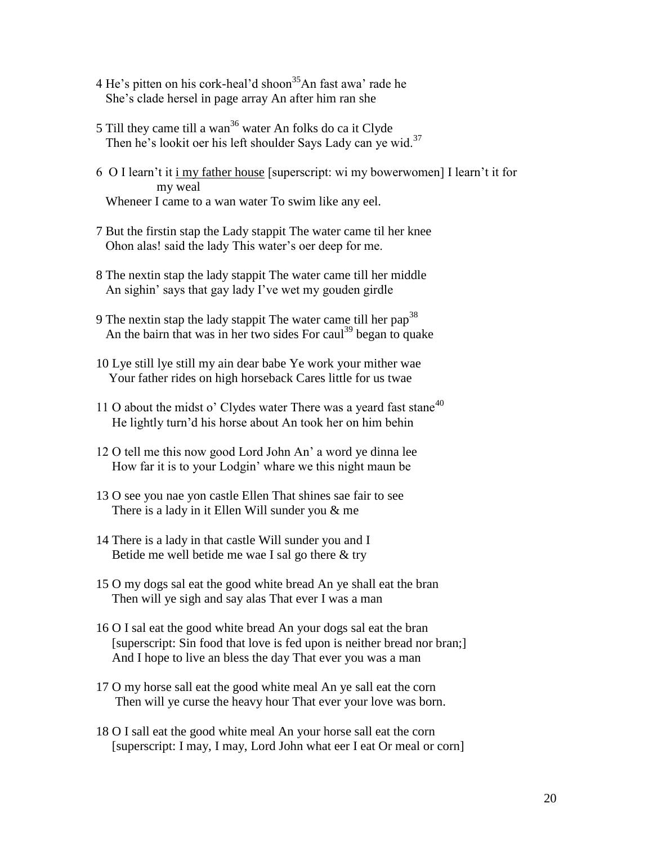- 4 He's pitten on his cork-heal'd shoon<sup>35</sup>An fast awa' rade he She"s clade hersel in page array An after him ran she
- 5 Till they came till a wan<sup>36</sup> water An folks do ca it Clyde Then he's lookit oer his left shoulder Says Lady can ye wid.<sup>37</sup>
- 6 O I learn"t it i my father house [superscript: wi my bowerwomen] I learn"t it for my weal Wheneer I came to a wan water To swim like any eel.
- 7 But the firstin stap the Lady stappit The water came til her knee Ohon alas! said the lady This water"s oer deep for me.
- 8 The nextin stap the lady stappit The water came till her middle An sighin' says that gay lady I've wet my gouden girdle
- 9 The nextin stap the lady stappit The water came till her  $pap^{38}$ An the bairn that was in her two sides For caul<sup>39</sup> began to quake
- 10 Lye still lye still my ain dear babe Ye work your mither wae Your father rides on high horseback Cares little for us twae
- 11 O about the midst o' Clydes water There was a yeard fast stane<sup>40</sup> He lightly turn"d his horse about An took her on him behin
- 12 O tell me this now good Lord John An" a word ye dinna lee How far it is to your Lodgin" whare we this night maun be
- 13 O see you nae yon castle Ellen That shines sae fair to see There is a lady in it Ellen Will sunder you & me
- 14 There is a lady in that castle Will sunder you and I Betide me well betide me wae I sal go there & try
- 15 O my dogs sal eat the good white bread An ye shall eat the bran Then will ye sigh and say alas That ever I was a man
- 16 O I sal eat the good white bread An your dogs sal eat the bran [superscript: Sin food that love is fed upon is neither bread nor bran;] And I hope to live an bless the day That ever you was a man
- 17 O my horse sall eat the good white meal An ye sall eat the corn Then will ye curse the heavy hour That ever your love was born.
- 18 O I sall eat the good white meal An your horse sall eat the corn [superscript: I may, I may, Lord John what eer I eat Or meal or corn]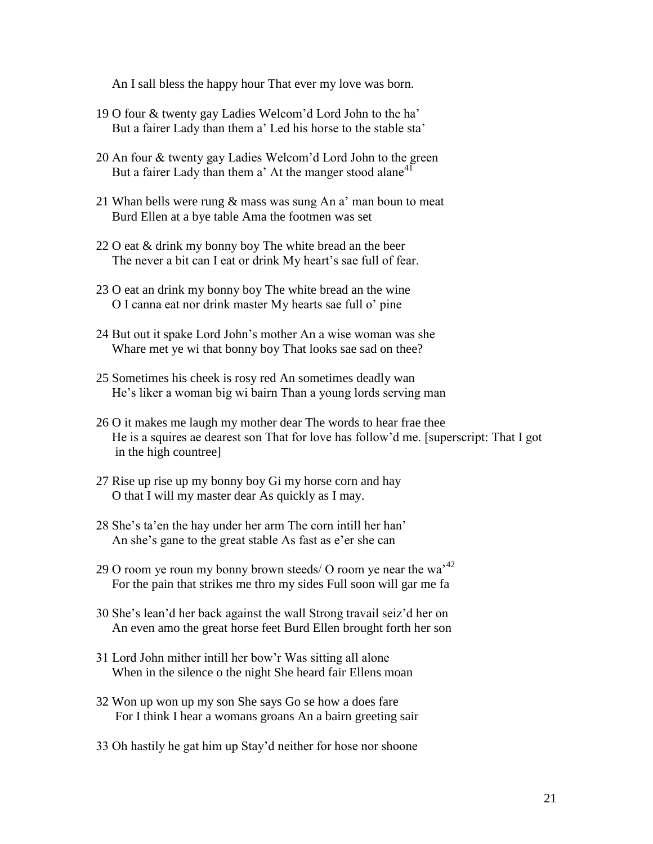An I sall bless the happy hour That ever my love was born.

- 19 O four & twenty gay Ladies Welcom"d Lord John to the ha" But a fairer Lady than them a' Led his horse to the stable sta'
- 20 An four & twenty gay Ladies Welcom"d Lord John to the green But a fairer Lady than them a' At the manger stood alane<sup>41</sup>
- 21 Whan bells were rung & mass was sung An a' man boun to meat Burd Ellen at a bye table Ama the footmen was set
- 22 O eat & drink my bonny boy The white bread an the beer The never a bit can I eat or drink My heart's sae full of fear.
- 23 O eat an drink my bonny boy The white bread an the wine O I canna eat nor drink master My hearts sae full o" pine
- 24 But out it spake Lord John"s mother An a wise woman was she Whare met ye wi that bonny boy That looks sae sad on thee?
- 25 Sometimes his cheek is rosy red An sometimes deadly wan He"s liker a woman big wi bairn Than a young lords serving man
- 26 O it makes me laugh my mother dear The words to hear frae thee He is a squires ae dearest son That for love has follow"d me. [superscript: That I got in the high countree]
- 27 Rise up rise up my bonny boy Gi my horse corn and hay O that I will my master dear As quickly as I may.
- 28 She's ta'en the hay under her arm The corn intill her han' An she"s gane to the great stable As fast as e"er she can
- 29 O room ye roun my bonny brown steeds/ O room ye near the wa $^{22}$ For the pain that strikes me thro my sides Full soon will gar me fa
- 30 She"s lean"d her back against the wall Strong travail seiz"d her on An even amo the great horse feet Burd Ellen brought forth her son
- 31 Lord John mither intill her bow"r Was sitting all alone When in the silence o the night She heard fair Ellens moan
- 32 Won up won up my son She says Go se how a does fare For I think I hear a womans groans An a bairn greeting sair
- 33 Oh hastily he gat him up Stay"d neither for hose nor shoone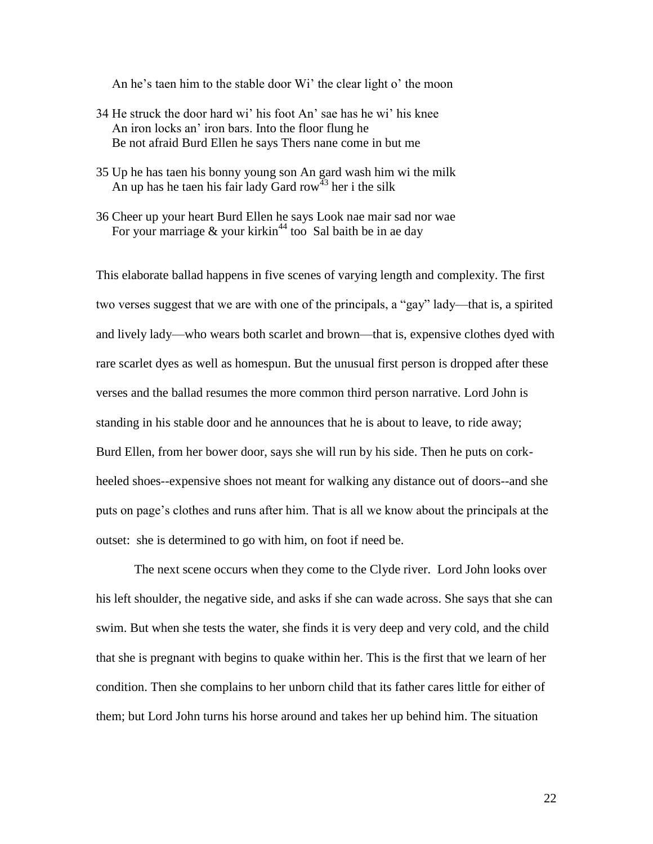An he's taen him to the stable door Wi' the clear light o' the moon

- 34 He struck the door hard wi" his foot An" sae has he wi" his knee An iron locks an" iron bars. Into the floor flung he Be not afraid Burd Ellen he says Thers nane come in but me
- 35 Up he has taen his bonny young son An gard wash him wi the milk An up has he taen his fair lady Gard row<sup>43</sup> her i the silk
- 36 Cheer up your heart Burd Ellen he says Look nae mair sad nor wae For your marriage  $&$  your kirkin<sup>44</sup> too Sal baith be in ae day

This elaborate ballad happens in five scenes of varying length and complexity. The first two verses suggest that we are with one of the principals, a "gay" lady—that is, a spirited and lively lady—who wears both scarlet and brown—that is, expensive clothes dyed with rare scarlet dyes as well as homespun. But the unusual first person is dropped after these verses and the ballad resumes the more common third person narrative. Lord John is standing in his stable door and he announces that he is about to leave, to ride away; Burd Ellen, from her bower door, says she will run by his side. Then he puts on corkheeled shoes--expensive shoes not meant for walking any distance out of doors--and she puts on page"s clothes and runs after him. That is all we know about the principals at the outset: she is determined to go with him, on foot if need be.

The next scene occurs when they come to the Clyde river. Lord John looks over his left shoulder, the negative side, and asks if she can wade across. She says that she can swim. But when she tests the water, she finds it is very deep and very cold, and the child that she is pregnant with begins to quake within her. This is the first that we learn of her condition. Then she complains to her unborn child that its father cares little for either of them; but Lord John turns his horse around and takes her up behind him. The situation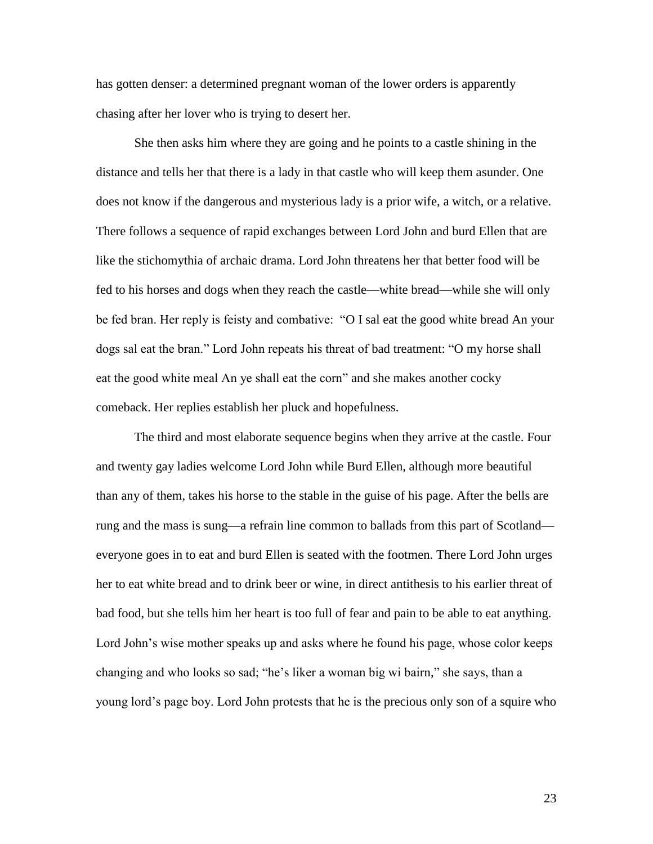has gotten denser: a determined pregnant woman of the lower orders is apparently chasing after her lover who is trying to desert her.

She then asks him where they are going and he points to a castle shining in the distance and tells her that there is a lady in that castle who will keep them asunder. One does not know if the dangerous and mysterious lady is a prior wife, a witch, or a relative. There follows a sequence of rapid exchanges between Lord John and burd Ellen that are like the stichomythia of archaic drama. Lord John threatens her that better food will be fed to his horses and dogs when they reach the castle—white bread—while she will only be fed bran. Her reply is feisty and combative: "O I sal eat the good white bread An your dogs sal eat the bran." Lord John repeats his threat of bad treatment: "O my horse shall eat the good white meal An ye shall eat the corn" and she makes another cocky comeback. Her replies establish her pluck and hopefulness.

The third and most elaborate sequence begins when they arrive at the castle. Four and twenty gay ladies welcome Lord John while Burd Ellen, although more beautiful than any of them, takes his horse to the stable in the guise of his page. After the bells are rung and the mass is sung—a refrain line common to ballads from this part of Scotland everyone goes in to eat and burd Ellen is seated with the footmen. There Lord John urges her to eat white bread and to drink beer or wine, in direct antithesis to his earlier threat of bad food, but she tells him her heart is too full of fear and pain to be able to eat anything. Lord John's wise mother speaks up and asks where he found his page, whose color keeps changing and who looks so sad; "he"s liker a woman big wi bairn," she says, than a young lord"s page boy. Lord John protests that he is the precious only son of a squire who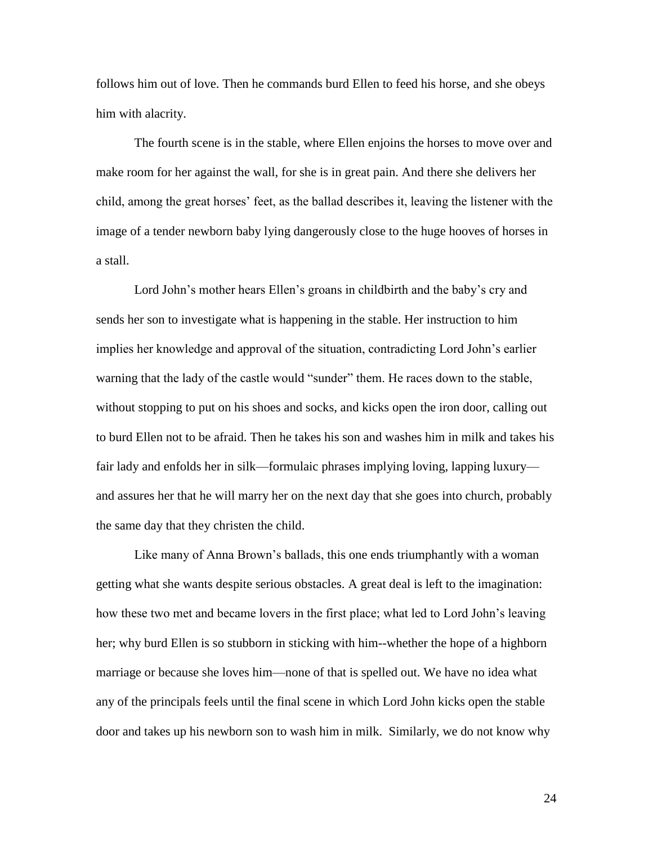follows him out of love. Then he commands burd Ellen to feed his horse, and she obeys him with alacrity.

The fourth scene is in the stable, where Ellen enjoins the horses to move over and make room for her against the wall, for she is in great pain. And there she delivers her child, among the great horses" feet, as the ballad describes it, leaving the listener with the image of a tender newborn baby lying dangerously close to the huge hooves of horses in a stall.

Lord John's mother hears Ellen's groans in childbirth and the baby's cry and sends her son to investigate what is happening in the stable. Her instruction to him implies her knowledge and approval of the situation, contradicting Lord John"s earlier warning that the lady of the castle would "sunder" them. He races down to the stable, without stopping to put on his shoes and socks, and kicks open the iron door, calling out to burd Ellen not to be afraid. Then he takes his son and washes him in milk and takes his fair lady and enfolds her in silk—formulaic phrases implying loving, lapping luxury and assures her that he will marry her on the next day that she goes into church, probably the same day that they christen the child.

Like many of Anna Brown"s ballads, this one ends triumphantly with a woman getting what she wants despite serious obstacles. A great deal is left to the imagination: how these two met and became lovers in the first place; what led to Lord John"s leaving her; why burd Ellen is so stubborn in sticking with him--whether the hope of a highborn marriage or because she loves him—none of that is spelled out. We have no idea what any of the principals feels until the final scene in which Lord John kicks open the stable door and takes up his newborn son to wash him in milk. Similarly, we do not know why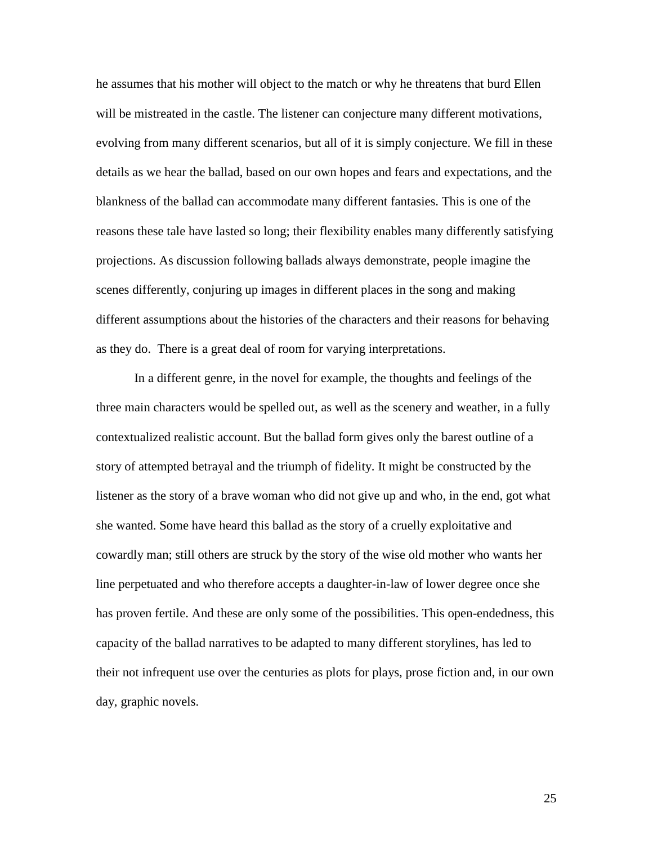he assumes that his mother will object to the match or why he threatens that burd Ellen will be mistreated in the castle. The listener can conjecture many different motivations, evolving from many different scenarios, but all of it is simply conjecture. We fill in these details as we hear the ballad, based on our own hopes and fears and expectations, and the blankness of the ballad can accommodate many different fantasies. This is one of the reasons these tale have lasted so long; their flexibility enables many differently satisfying projections. As discussion following ballads always demonstrate, people imagine the scenes differently, conjuring up images in different places in the song and making different assumptions about the histories of the characters and their reasons for behaving as they do. There is a great deal of room for varying interpretations.

In a different genre, in the novel for example, the thoughts and feelings of the three main characters would be spelled out, as well as the scenery and weather, in a fully contextualized realistic account. But the ballad form gives only the barest outline of a story of attempted betrayal and the triumph of fidelity. It might be constructed by the listener as the story of a brave woman who did not give up and who, in the end, got what she wanted. Some have heard this ballad as the story of a cruelly exploitative and cowardly man; still others are struck by the story of the wise old mother who wants her line perpetuated and who therefore accepts a daughter-in-law of lower degree once she has proven fertile. And these are only some of the possibilities. This open-endedness, this capacity of the ballad narratives to be adapted to many different storylines, has led to their not infrequent use over the centuries as plots for plays, prose fiction and, in our own day, graphic novels.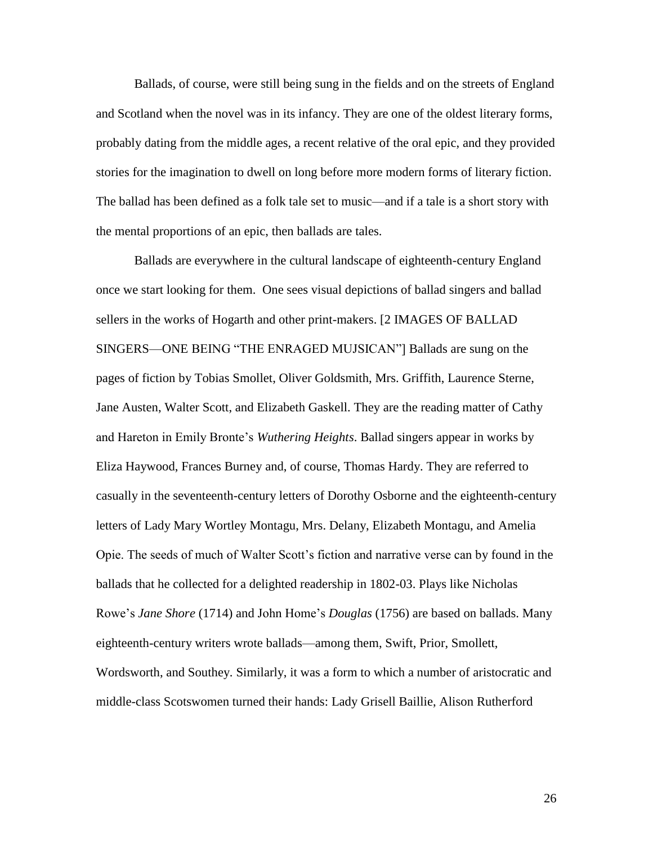Ballads, of course, were still being sung in the fields and on the streets of England and Scotland when the novel was in its infancy. They are one of the oldest literary forms, probably dating from the middle ages, a recent relative of the oral epic, and they provided stories for the imagination to dwell on long before more modern forms of literary fiction. The ballad has been defined as a folk tale set to music—and if a tale is a short story with the mental proportions of an epic, then ballads are tales.

Ballads are everywhere in the cultural landscape of eighteenth-century England once we start looking for them. One sees visual depictions of ballad singers and ballad sellers in the works of Hogarth and other print-makers. [2 IMAGES OF BALLAD SINGERS—ONE BEING "THE ENRAGED MUJSICAN"] Ballads are sung on the pages of fiction by Tobias Smollet, Oliver Goldsmith, Mrs. Griffith, Laurence Sterne, Jane Austen, Walter Scott, and Elizabeth Gaskell. They are the reading matter of Cathy and Hareton in Emily Bronte"s *Wuthering Heights*. Ballad singers appear in works by Eliza Haywood, Frances Burney and, of course, Thomas Hardy. They are referred to casually in the seventeenth-century letters of Dorothy Osborne and the eighteenth-century letters of Lady Mary Wortley Montagu, Mrs. Delany, Elizabeth Montagu, and Amelia Opie. The seeds of much of Walter Scott"s fiction and narrative verse can by found in the ballads that he collected for a delighted readership in 1802-03. Plays like Nicholas Rowe"s *Jane Shore* (1714) and John Home"s *Douglas* (1756) are based on ballads. Many eighteenth-century writers wrote ballads—among them, Swift, Prior, Smollett, Wordsworth, and Southey. Similarly, it was a form to which a number of aristocratic and middle-class Scotswomen turned their hands: Lady Grisell Baillie, Alison Rutherford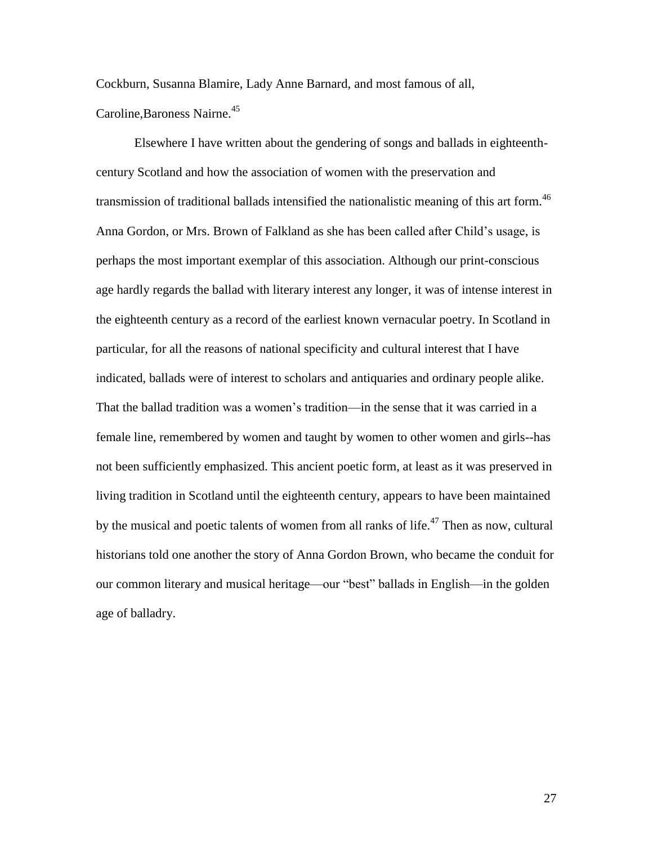Cockburn, Susanna Blamire, Lady Anne Barnard, and most famous of all, Caroline, Baroness Nairne.<sup>45</sup>

Elsewhere I have written about the gendering of songs and ballads in eighteenthcentury Scotland and how the association of women with the preservation and transmission of traditional ballads intensified the nationalistic meaning of this art form.<sup>46</sup> Anna Gordon, or Mrs. Brown of Falkland as she has been called after Child"s usage, is perhaps the most important exemplar of this association. Although our print-conscious age hardly regards the ballad with literary interest any longer, it was of intense interest in the eighteenth century as a record of the earliest known vernacular poetry. In Scotland in particular, for all the reasons of national specificity and cultural interest that I have indicated, ballads were of interest to scholars and antiquaries and ordinary people alike. That the ballad tradition was a women"s tradition—in the sense that it was carried in a female line, remembered by women and taught by women to other women and girls--has not been sufficiently emphasized. This ancient poetic form, at least as it was preserved in living tradition in Scotland until the eighteenth century, appears to have been maintained by the musical and poetic talents of women from all ranks of life.<sup>47</sup> Then as now, cultural historians told one another the story of Anna Gordon Brown, who became the conduit for our common literary and musical heritage—our "best" ballads in English—in the golden age of balladry.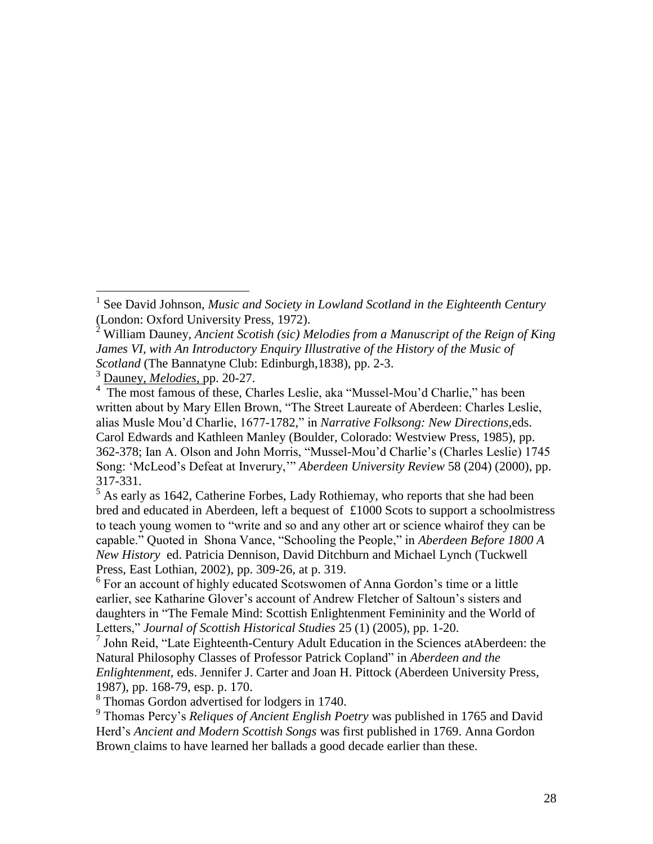$\overline{a}$ 

 $<sup>5</sup>$  As early as 1642, Catherine Forbes, Lady Rothiemay, who reports that she had been</sup> bred and educated in Aberdeen, left a bequest of £1000 Scots to support a schoolmistress to teach young women to "write and so and any other art or science whairof they can be capable." Quoted in Shona Vance, "Schooling the People," in *Aberdeen Before 1800 A New History* ed. Patricia Dennison, David Ditchburn and Michael Lynch (Tuckwell Press, East Lothian, 2002), pp. 309-26, at p. 319.

<sup>6</sup> For an account of highly educated Scotswomen of Anna Gordon's time or a little earlier, see Katharine Glover's account of Andrew Fletcher of Saltoun's sisters and daughters in "The Female Mind: Scottish Enlightenment Femininity and the World of Letters," *Journal of Scottish Historical Studies* 25 (1) (2005), pp. 1-20.

7 John Reid, "Late Eighteenth-Century Adult Education in the Sciences atAberdeen: the Natural Philosophy Classes of Professor Patrick Copland" in *Aberdeen and the Enlightenment*, eds. Jennifer J. Carter and Joan H. Pittock (Aberdeen University Press, 1987), pp. 168-79, esp. p. 170.

<sup>8</sup> Thomas Gordon advertised for lodgers in 1740.

<sup>9</sup> Thomas Percy's *Reliques of Ancient English Poetry* was published in 1765 and David Herd"s *Ancient and Modern Scottish Songs* was first published in 1769. Anna Gordon Brown claims to have learned her ballads a good decade earlier than these.

<sup>1</sup> See David Johnson, *Music and Society in Lowland Scotland in the Eighteenth Century* (London: Oxford University Press, 1972).

<sup>2</sup> William Dauney, *Ancient Scotish (sic) Melodies from a Manuscript of the Reign of King James VI, with An Introductory Enquiry Illustrative of the History of the Music of Scotland* (The Bannatyne Club: Edinburgh,1838), pp. 2-3.

<sup>3</sup> Dauney, *Melodies*, pp. 20-27.

<sup>&</sup>lt;sup>4</sup> The most famous of these, Charles Leslie, aka "Mussel-Mou'd Charlie," has been written about by Mary Ellen Brown, "The Street Laureate of Aberdeen: Charles Leslie, alias Musle Mou"d Charlie, 1677-1782," in *Narrative Folksong: New Directions,*eds. Carol Edwards and Kathleen Manley (Boulder, Colorado: Westview Press, 1985), pp. 362-378; Ian A. Olson and John Morris, "Mussel-Mou"d Charlie"s (Charles Leslie) 1745 Song: "McLeod"s Defeat at Inverury,"" *Aberdeen University Review* 58 (204) (2000), pp. 317-331.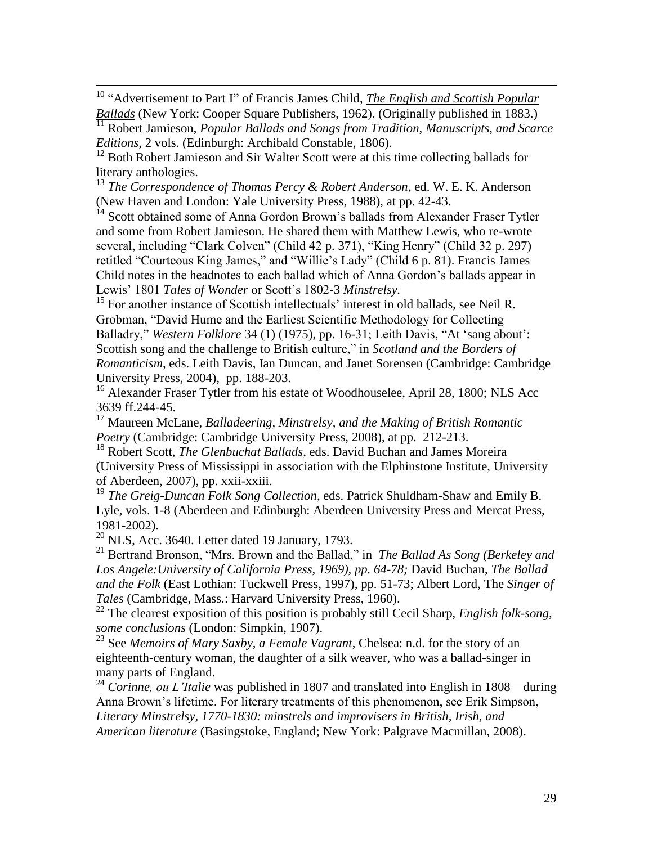<sup>10</sup> "Advertisement to Part I" of Francis James Child, *The English and Scottish Popular Ballads* (New York: Cooper Square Publishers, 1962). (Originally published in 1883.)

<sup>11</sup> Robert Jamieson, *Popular Ballads and Songs from Tradition, Manuscripts, and Scarce Editions*, 2 vols. (Edinburgh: Archibald Constable, 1806).

<sup>12</sup> Both Robert Jamieson and Sir Walter Scott were at this time collecting ballads for literary anthologies.

<sup>13</sup> *The Correspondence of Thomas Percy & Robert Anderson*, ed. W. E. K. Anderson (New Haven and London: Yale University Press, 1988), at pp. 42-43.

<sup>14</sup> Scott obtained some of Anna Gordon Brown's ballads from Alexander Fraser Tytler and some from Robert Jamieson. He shared them with Matthew Lewis, who re-wrote several, including "Clark Colven" (Child 42 p. 371), "King Henry" (Child 32 p. 297) retitled "Courteous King James," and "Willie"s Lady" (Child 6 p. 81). Francis James Child notes in the headnotes to each ballad which of Anna Gordon"s ballads appear in Lewis' 1801 *Tales of Wonder* or Scott's 1802-3 Minstrelsy.

<sup>15</sup> For another instance of Scottish intellectuals' interest in old ballads, see Neil R. Grobman, "David Hume and the Earliest Scientific Methodology for Collecting Balladry," *Western Folklore* 34 (1) (1975), pp. 16-31; Leith Davis, "At "sang about": Scottish song and the challenge to British culture," in *Scotland and the Borders of Romanticism*, eds. Leith Davis, Ian Duncan, and Janet Sorensen (Cambridge: Cambridge University Press, 2004), pp. 188-203.

<sup>16</sup> Alexander Fraser Tytler from his estate of Woodhouselee, April 28, 1800; NLS Acc 3639 ff.244-45.

<sup>17</sup> Maureen McLane, *Balladeering, Minstrelsy, and the Making of British Romantic Poetry* (Cambridge: Cambridge University Press, 2008), at pp. 212-213.

<sup>18</sup> Robert Scott, *The Glenbuchat Ballads*, eds. David Buchan and James Moreira (University Press of Mississippi in association with the Elphinstone Institute, University of Aberdeen, 2007), pp. xxii-xxiii.

<sup>19</sup> *The Greig-Duncan Folk Song Collection*, eds. Patrick Shuldham-Shaw and Emily B. Lyle, vols. 1-8 (Aberdeen and Edinburgh: Aberdeen University Press and Mercat Press, 1981-2002).

 $^{20}$  NLS, Acc. 3640. Letter dated 19 January, 1793.

 $\overline{a}$ 

<sup>21</sup> Bertrand Bronson, "Mrs. Brown and the Ballad," in *The Ballad As Song (Berkeley and Los Angele:University of California Press, 1969), pp. 64-78;* David Buchan, *The Ballad and the Folk* (East Lothian: Tuckwell Press, 1997), pp. 51-73; Albert Lord, The *Singer of Tales* (Cambridge, Mass.: Harvard University Press, 1960).

<sup>22</sup> The clearest exposition of this position is probably still Cecil Sharp, *English folk-song, some conclusions* (London: Simpkin, 1907).

<sup>23</sup> See *Memoirs of Mary Saxby, a Female Vagrant*, Chelsea: n.d. for the story of an eighteenth-century woman, the daughter of a silk weaver, who was a ballad-singer in many parts of England.

<sup>24</sup> *Corinne, ou L'Italie* was published in 1807 and translated into English in 1808—during Anna Brown"s lifetime. For literary treatments of this phenomenon, see Erik Simpson, *Literary Minstrelsy, 1770-1830: minstrels and improvisers in British, Irish, and American literature* (Basingstoke, England; New York: Palgrave Macmillan, 2008).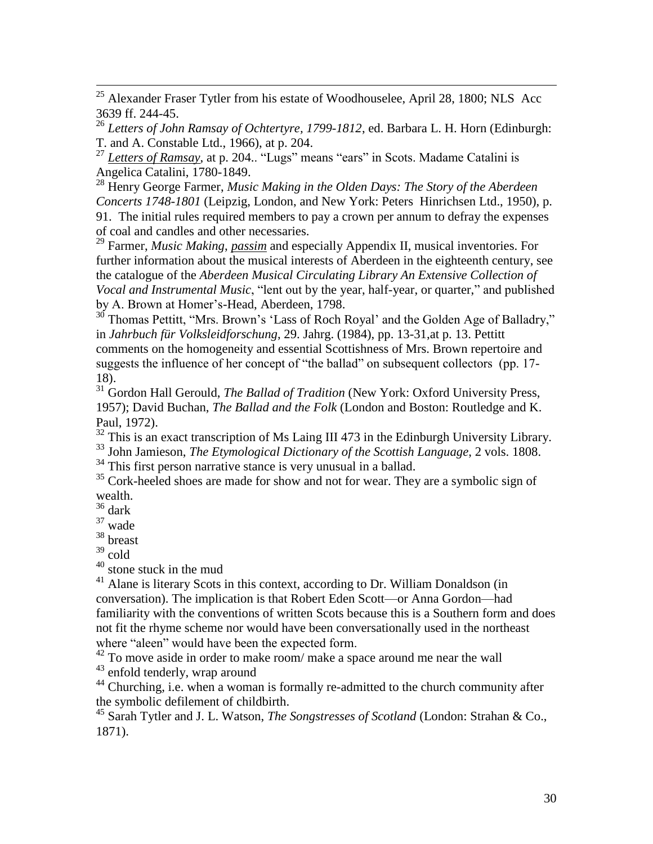$^{25}$  Alexander Fraser Tytler from his estate of Woodhouselee, April 28, 1800; NLS Acc 3639 ff. 244-45.

<sup>26</sup> *Letters of John Ramsay of Ochtertyre, 1799-1812*, ed. Barbara L. H. Horn (Edinburgh: T. and A. Constable Ltd., 1966), at p. 204.

<sup>27</sup> *Letters of Ramsay*, at p. 204.. "Lugs" means "ears" in Scots. Madame Catalini is Angelica Catalini, 1780-1849.

<sup>28</sup> Henry George Farmer, *Music Making in the Olden Days: The Story of the Aberdeen Concerts 1748-1801* (Leipzig, London, and New York: Peters Hinrichsen Ltd., 1950), p. 91. The initial rules required members to pay a crown per annum to defray the expenses of coal and candles and other necessaries.

<sup>29</sup> Farmer, *Music Making*, *passim* and especially Appendix II, musical inventories. For further information about the musical interests of Aberdeen in the eighteenth century, see the catalogue of the *Aberdeen Musical Circulating Library An Extensive Collection of Vocal and Instrumental Music*, "lent out by the year, half-year, or quarter," and published by A. Brown at Homer"s-Head, Aberdeen, 1798.

 $30^{\circ}$  Thomas Pettitt, "Mrs. Brown's 'Lass of Roch Royal' and the Golden Age of Balladry," in *Jahrbuch für Volksleidforschung*, 29. Jahrg. (1984), pp. 13-31,at p. 13. Pettitt comments on the homogeneity and essential Scottishness of Mrs. Brown repertoire and suggests the influence of her concept of "the ballad" on subsequent collectors (pp. 17- 18).

<sup>31</sup> Gordon Hall Gerould, *The Ballad of Tradition* (New York: Oxford University Press, 1957); David Buchan, *The Ballad and the Folk* (London and Boston: Routledge and K. Paul, 1972).

 $32$  This is an exact transcription of Ms Laing III 473 in the Edinburgh University Library.

<sup>33</sup> John Jamieson, *The Etymological Dictionary of the Scottish Language*, 2 vols. 1808.

 $34$  This first person narrative stance is very unusual in a ballad.

 $35$  Cork-heeled shoes are made for show and not for wear. They are a symbolic sign of wealth.

 $36$  dark

 $\overline{a}$ 

<sup>37</sup> wade

<sup>38</sup> breast

 $39$  cold

<sup>40</sup> stone stuck in the mud

<sup>41</sup> Alane is literary Scots in this context, according to Dr. William Donaldson (in conversation). The implication is that Robert Eden Scott—or Anna Gordon—had familiarity with the conventions of written Scots because this is a Southern form and does not fit the rhyme scheme nor would have been conversationally used in the northeast where "aleen" would have been the expected form.

 $42$  To move aside in order to make room/ make a space around me near the wall

<sup>43</sup> enfold tenderly, wrap around

<sup>44</sup> Churching, i.e. when a woman is formally re-admitted to the church community after the symbolic defilement of childbirth.

<sup>45</sup> Sarah Tytler and J. L. Watson, *The Songstresses of Scotland* (London: Strahan & Co., 1871).